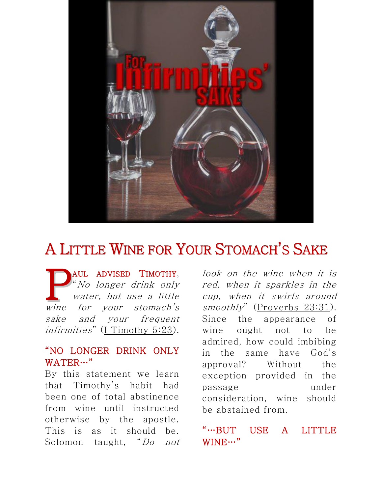

## A LITTLE WINE FOR YOUR STOMACH'S SAKE

AUL ADVISED TIMOTHY, "No longer drink only water, but use a little **PAUL ADVISED TIMOTHY,**<br>
"No longer drink only water, but use a little wine for your stomach's sake and your frequent infirmities" ([I Timothy 5:23\)](http://biblia.com/bible/nkjv/I%20Timothy%205.23).

## "NO LONGER DRINK ONLY WATER…"

By this statement we learn that Timothy's habit had been one of total abstinence from wine until instructed otherwise by the apostle. This is as it should be. Solomon taught, "Do not

look on the wine when it is red, when it sparkles in the cup, when it swirls around smoothly" ([Proverbs 23:31\)](http://biblia.com/bible/nkjv/Proverbs%2023.31). Since the appearance of wine ought not to be admired, how could imbibing in the same have God's approval? Without the exception provided in the passage under consideration, wine should be abstained from.

## "…BUT USE A LITTLE WINE…"